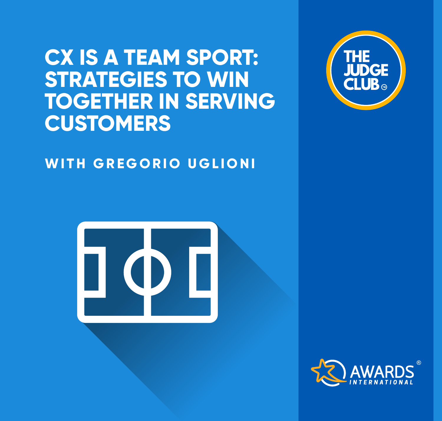## **CX IS A TEAM SPORT: STRATEGIES TO WIN TOGETHER IN SERVING CUSTOMERS**

## **WITH GREGORIO UGLIONI**





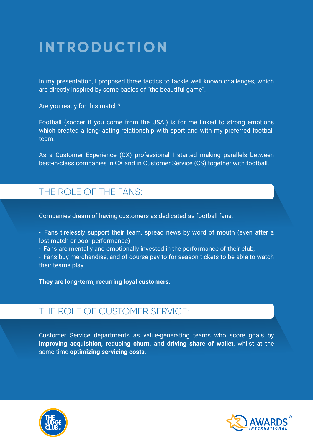## **IN T RO DU C TI ON**

In my presentation, I proposed three tactics to tackle well known challenges, which are directly inspired by some basics of "the beautiful game".

Are you ready for this match?

Football (soccer if you come from the USA!) is for me linked to strong emotions which created a long-lasting relationship with sport and with my preferred football team.

As a Customer Experience (CX) professional I started making parallels between best-in-class companies in CX and in Customer Service (CS) together with football.

### THE ROLE OF THE FANS:

Companies dream of having customers as dedicated as football fans.

- Fans tirelessly support their team, spread news by word of mouth (even after a lost match or poor performance)

- Fans are mentally and emotionally invested in the performance of their club,

- Fans buy merchandise, and of course pay to for season tickets to be able to watch their teams play.

**They are long-term, recurring loyal customers.**

### THE ROLE OF CUSTOMER SERVICE:

Customer Service departments as value-generating teams who score goals by **improving acquisition, reducing churn, and driving share of wallet**, whilst at the same time **optimizing servicing costs**.



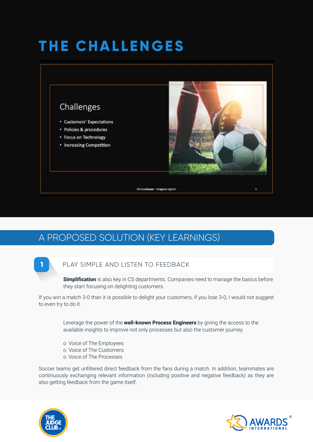# **THE CHALLENGES**



## A PROPOSED SOLUTION (KEY LEARNINGS)

#### **1** PLAY SIMPLE AND LISTEN TO FEEDBACK

**Simplification** is also key in CS departments. Companies need to manage the basics before they start focusing on delighting customers.

If you win a match 3-0 than it is possible to delight your customers, if you lose 3-0, I would not suggest to even try to do it.

> Leverage the power of the **well-known Process Engineers** by giving the access to the available insights to improve not only processes but also the customer journey.

- o Voice of The Employees
- o Voice of The Customers
- o Voice of The Processes

Soccer teams get unfiltered direct feedback from the fans during a match. In addition, teammates are continuously exchanging relevant information (including positive and negative feedback) as they are also getting feedback from the game itself.



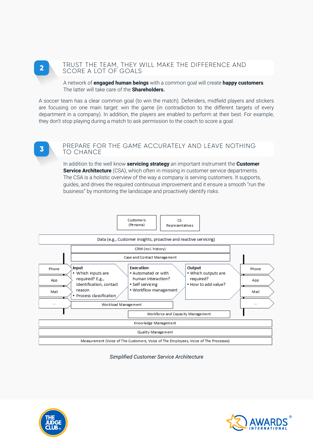#### TRUST THE TEAM, THEY WILL MAKE THE DIFFERENCE AND **2** SCORE A LOT OF GOALS

A network of **engaged human beings** with a common goal will create **happy customers**. The latter will take care of the **Shareholders.**

A soccer team has a clear common goal (to win the match). Defenders, midfield players and stickers are focusing on one main target: win the game (in contradiction to the different targets of every department in a company). In addition, the players are enabled to perform at their best. For example, they don't stop playing during a match to ask permission to the coach to score a goal.

#### PREPARE FOR THE GAME ACCURATELY AND LEAVE NOTHING TO CHANCE **3**

In addition to the well know **servicing strategy** an important instrument the **Customer Service Architecture** (CSA), which often in missing in customer service departments. The CSA is a holistic overview of the way a company is serving customers. It supports, guides, and drives the required continuous improvement and it ensure a smooth "run the business" by monitoring the landscape and proactively identify risks.



#### *Simplified Customer Service Architecture*